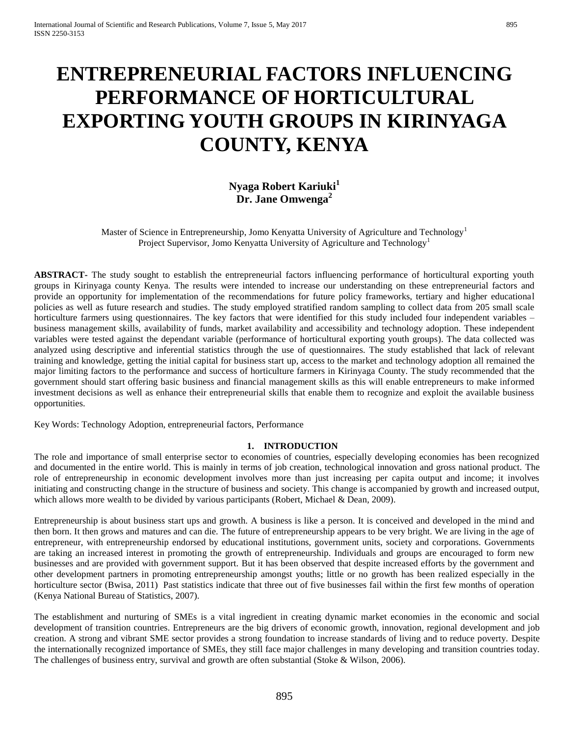# **ENTREPRENEURIAL FACTORS INFLUENCING PERFORMANCE OF HORTICULTURAL EXPORTING YOUTH GROUPS IN KIRINYAGA COUNTY, KENYA**

# **Nyaga Robert Kariuki<sup>1</sup> Dr. Jane Omwenga<sup>2</sup>**

Master of Science in Entrepreneurship, Jomo Kenyatta University of Agriculture and Technology<sup>1</sup> Project Supervisor, Jomo Kenyatta University of Agriculture and Technology<sup>1</sup>

**ABSTRACT-** The study sought to establish the entrepreneurial factors influencing performance of horticultural exporting youth groups in Kirinyaga county Kenya. The results were intended to increase our understanding on these entrepreneurial factors and provide an opportunity for implementation of the recommendations for future policy frameworks, tertiary and higher educational policies as well as future research and studies. The study employed stratified random sampling to collect data from 205 small scale horticulture farmers using questionnaires. The key factors that were identified for this study included four independent variables – business management skills, availability of funds, market availability and accessibility and technology adoption. These independent variables were tested against the dependant variable (performance of horticultural exporting youth groups). The data collected was analyzed using descriptive and inferential statistics through the use of questionnaires. The study established that lack of relevant training and knowledge, getting the initial capital for business start up, access to the market and technology adoption all remained the major limiting factors to the performance and success of horticulture farmers in Kirinyaga County. The study recommended that the government should start offering basic business and financial management skills as this will enable entrepreneurs to make informed investment decisions as well as enhance their entrepreneurial skills that enable them to recognize and exploit the available business opportunities.

Key Words: Technology Adoption, entrepreneurial factors, Performance

#### **1. INTRODUCTION**

The role and importance of small enterprise sector to economies of countries, especially developing economies has been recognized and documented in the entire world. This is mainly in terms of job creation, technological innovation and gross national product. The role of entrepreneurship in economic development involves more than just increasing per capita output and income; it involves initiating and constructing change in the structure of business and society. This change is accompanied by growth and increased output, which allows more wealth to be divided by various participants (Robert, Michael & Dean, 2009).

Entrepreneurship is about business start ups and growth. A business is like a person. It is conceived and developed in the mind and then born. It then grows and matures and can die. The future of entrepreneurship appears to be very bright. We are living in the age of entrepreneur, with entrepreneurship endorsed by educational institutions, government units, society and corporations. Governments are taking an increased interest in promoting the growth of entrepreneurship. Individuals and groups are encouraged to form new businesses and are provided with government support. But it has been observed that despite increased efforts by the government and other development partners in promoting entrepreneurship amongst youths; little or no growth has been realized especially in the horticulture sector (Bwisa, 2011) Past statistics indicate that three out of five businesses fail within the first few months of operation (Kenya National Bureau of Statistics, 2007).

The establishment and nurturing of SMEs is a vital ingredient in creating dynamic market economies in the economic and social development of transition countries. Entrepreneurs are the big drivers of economic growth, innovation, regional development and job creation. A strong and vibrant SME sector provides a strong foundation to increase standards of living and to reduce poverty. Despite the internationally recognized importance of SMEs, they still face major challenges in many developing and transition countries today. The challenges of business entry, survival and growth are often substantial (Stoke & Wilson, 2006).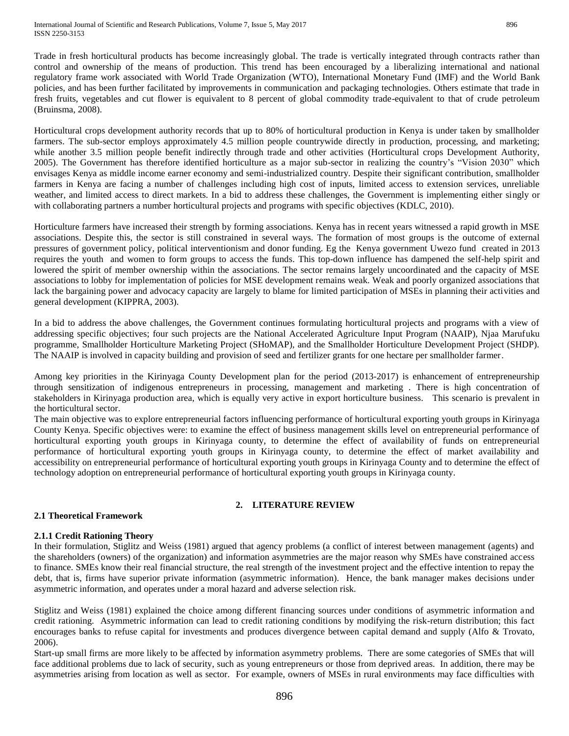Trade in fresh horticultural products has become increasingly global. The trade is vertically integrated through contracts rather than control and ownership of the means of production. This trend has been encouraged by a liberalizing international and national regulatory frame work associated with World Trade Organization (WTO), International Monetary Fund (IMF) and the World Bank policies, and has been further facilitated by improvements in communication and packaging technologies. Others estimate that trade in fresh fruits, vegetables and cut flower is equivalent to 8 percent of global commodity trade-equivalent to that of crude petroleum (Bruinsma, 2008).

Horticultural crops development authority records that up to 80% of horticultural production in Kenya is under taken by smallholder farmers. The sub-sector employs approximately 4.5 million people countrywide directly in production, processing, and marketing; while another 3.5 million people benefit indirectly through trade and other activities (Horticultural crops Development Authority, 2005). The Government has therefore identified horticulture as a major sub-sector in realizing the country's "Vision 2030" which envisages Kenya as middle income earner economy and semi-industrialized country. Despite their significant contribution, smallholder farmers in Kenya are facing a number of challenges including high cost of inputs, limited access to extension services, unreliable weather, and limited access to direct markets. In a bid to address these challenges, the Government is implementing either singly or with collaborating partners a number horticultural projects and programs with specific objectives (KDLC, 2010).

Horticulture farmers have increased their strength by forming associations. Kenya has in recent years witnessed a rapid growth in MSE associations. Despite this, the sector is still constrained in several ways. The formation of most groups is the outcome of external pressures of government policy, political interventionism and donor funding. Eg the Kenya government Uwezo fund created in 2013 requires the youth and women to form groups to access the funds. This top-down influence has dampened the self-help spirit and lowered the spirit of member ownership within the associations. The sector remains largely uncoordinated and the capacity of MSE associations to lobby for implementation of policies for MSE development remains weak. Weak and poorly organized associations that lack the bargaining power and advocacy capacity are largely to blame for limited participation of MSEs in planning their activities and general development (KIPPRA, 2003).

In a bid to address the above challenges, the Government continues formulating horticultural projects and programs with a view of addressing specific objectives; four such projects are the National Accelerated Agriculture Input Program (NAAIP), Njaa Marufuku programme, Smallholder Horticulture Marketing Project (SHoMAP), and the Smallholder Horticulture Development Project (SHDP). The NAAIP is involved in capacity building and provision of seed and fertilizer grants for one hectare per smallholder farmer.

Among key priorities in the Kirinyaga County Development plan for the period (2013-2017) is enhancement of entrepreneurship through sensitization of indigenous entrepreneurs in processing, management and marketing . There is high concentration of stakeholders in Kirinyaga production area, which is equally very active in export horticulture business. This scenario is prevalent in the horticultural sector.

The main objective was to explore entrepreneurial factors influencing performance of horticultural exporting youth groups in Kirinyaga County Kenya. Specific objectives were: to examine the effect of business management skills level on entrepreneurial performance of horticultural exporting youth groups in Kirinyaga county, to determine the effect of availability of funds on entrepreneurial performance of horticultural exporting youth groups in Kirinyaga county, to determine the effect of market availability and accessibility on entrepreneurial performance of horticultural exporting youth groups in Kirinyaga County and to determine the effect of technology adoption on entrepreneurial performance of horticultural exporting youth groups in Kirinyaga county.

## **2. LITERATURE REVIEW**

## **2.1 Theoretical Framework**

## **2.1.1 Credit Rationing Theory**

In their formulation, Stiglitz and Weiss (1981) argued that agency problems (a conflict of interest between management (agents) and the shareholders (owners) of the organization) and information asymmetries are the major reason why SMEs have constrained access to finance. SMEs know their real financial structure, the real strength of the investment project and the effective intention to repay the debt, that is, firms have superior private information (asymmetric information). Hence, the bank manager makes decisions under asymmetric information, and operates under a moral hazard and adverse selection risk.

Stiglitz and Weiss (1981) explained the choice among different financing sources under conditions of asymmetric information and credit rationing. Asymmetric information can lead to credit rationing conditions by modifying the risk-return distribution; this fact encourages banks to refuse capital for investments and produces divergence between capital demand and supply (Alfo & Trovato, 2006).

Start-up small firms are more likely to be affected by information asymmetry problems. There are some categories of SMEs that will face additional problems due to lack of security, such as young entrepreneurs or those from deprived areas. In addition, there may be asymmetries arising from location as well as sector. For example, owners of MSEs in rural environments may face difficulties with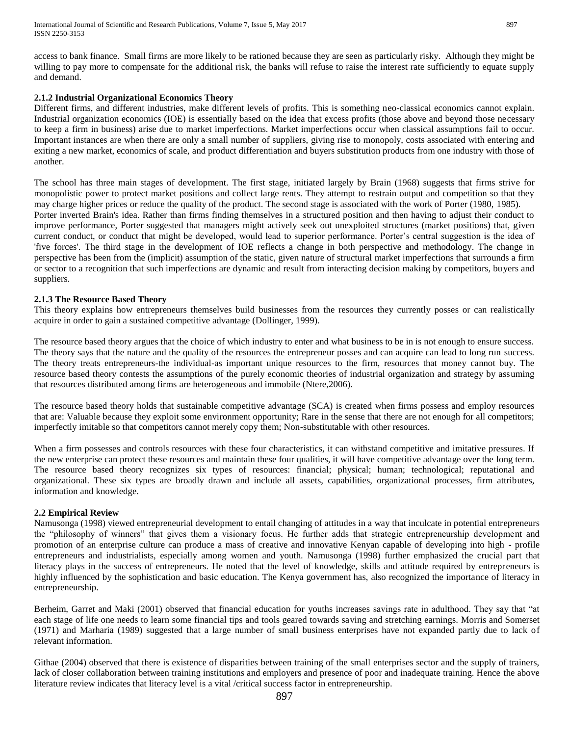access to bank finance. Small firms are more likely to be rationed because they are seen as particularly risky. Although they might be willing to pay more to compensate for the additional risk, the banks will refuse to raise the interest rate sufficiently to equate supply and demand.

## **2.1.2 Industrial Organizational Economics Theory**

Different firms, and different industries, make different levels of profits. This is something neo-classical economics cannot explain. Industrial organization economics (IOE) is essentially based on the idea that excess profits (those above and beyond those necessary to keep a firm in business) arise due to market imperfections. Market imperfections occur when classical assumptions fail to occur. Important instances are when there are only a small number of suppliers, giving rise to monopoly, costs associated with entering and exiting a new market, economics of scale, and product differentiation and buyers substitution products from one industry with those of another.

The school has three main stages of development. The first stage, initiated largely by Brain (1968) suggests that firms strive for monopolistic power to protect market positions and collect large rents. They attempt to restrain output and competition so that they may charge higher prices or reduce the quality of the product. The second stage is associated with the work of Porter (1980, 1985). Porter inverted Brain's idea. Rather than firms finding themselves in a structured position and then having to adjust their conduct to improve performance, Porter suggested that managers might actively seek out unexploited structures (market positions) that, given current conduct, or conduct that might be developed, would lead to superior performance. Porter's central suggestion is the idea of 'five forces'. The third stage in the development of IOE reflects a change in both perspective and methodology. The change in perspective has been from the (implicit) assumption of the static, given nature of structural market imperfections that surrounds a firm or sector to a recognition that such imperfections are dynamic and result from interacting decision making by competitors, buyers and suppliers.

## **2.1.3 The Resource Based Theory**

This theory explains how entrepreneurs themselves build businesses from the resources they currently posses or can realistically acquire in order to gain a sustained competitive advantage (Dollinger, 1999).

The resource based theory argues that the choice of which industry to enter and what business to be in is not enough to ensure success. The theory says that the nature and the quality of the resources the entrepreneur posses and can acquire can lead to long run success. The theory treats entrepreneurs-the individual-as important unique resources to the firm, resources that money cannot buy. The resource based theory contests the assumptions of the purely economic theories of industrial organization and strategy by assuming that resources distributed among firms are heterogeneous and immobile (Ntere,2006).

The resource based theory holds that sustainable competitive advantage (SCA) is created when firms possess and employ resources that are: Valuable because they exploit some environment opportunity; Rare in the sense that there are not enough for all competitors; imperfectly imitable so that competitors cannot merely copy them; Non-substitutable with other resources.

When a firm possesses and controls resources with these four characteristics, it can withstand competitive and imitative pressures. If the new enterprise can protect these resources and maintain these four qualities, it will have competitive advantage over the long term. The resource based theory recognizes six types of resources: financial; physical; human; technological; reputational and organizational. These six types are broadly drawn and include all assets, capabilities, organizational processes, firm attributes, information and knowledge.

#### **2.2 Empirical Review**

Namusonga (1998) viewed entrepreneurial development to entail changing of attitudes in a way that inculcate in potential entrepreneurs the "philosophy of winners" that gives them a visionary focus. He further adds that strategic entrepreneurship development and promotion of an enterprise culture can produce a mass of creative and innovative Kenyan capable of developing into high - profile entrepreneurs and industrialists, especially among women and youth. Namusonga (1998) further emphasized the crucial part that literacy plays in the success of entrepreneurs. He noted that the level of knowledge, skills and attitude required by entrepreneurs is highly influenced by the sophistication and basic education. The Kenya government has, also recognized the importance of literacy in entrepreneurship.

Berheim, Garret and Maki (2001) observed that financial education for youths increases savings rate in adulthood. They say that "at each stage of life one needs to learn some financial tips and tools geared towards saving and stretching earnings. Morris and Somerset (1971) and Marharia (1989) suggested that a large number of small business enterprises have not expanded partly due to lack of relevant information.

Githae (2004) observed that there is existence of disparities between training of the small enterprises sector and the supply of trainers, lack of closer collaboration between training institutions and employers and presence of poor and inadequate training. Hence the above literature review indicates that literacy level is a vital /critical success factor in entrepreneurship.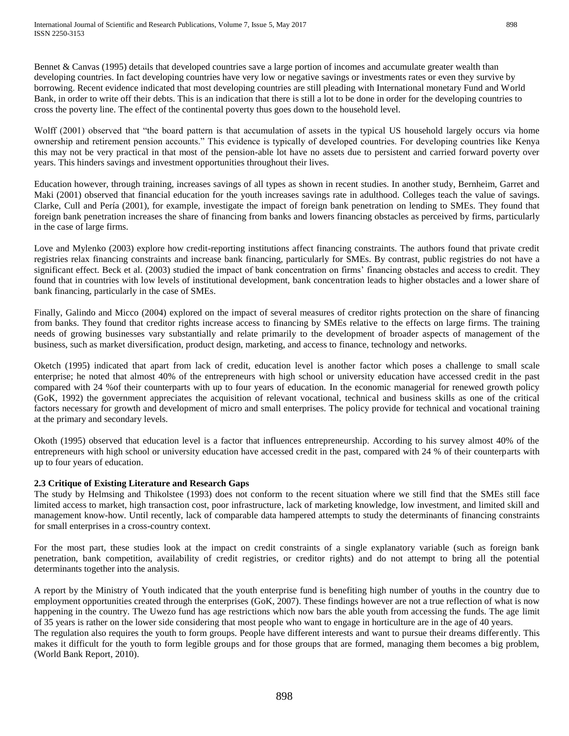Bennet & Canvas (1995) details that developed countries save a large portion of incomes and accumulate greater wealth than developing countries. In fact developing countries have very low or negative savings or investments rates or even they survive by borrowing. Recent evidence indicated that most developing countries are still pleading with International monetary Fund and World Bank, in order to write off their debts. This is an indication that there is still a lot to be done in order for the developing countries to cross the poverty line. The effect of the continental poverty thus goes down to the household level.

Wolff (2001) observed that "the board pattern is that accumulation of assets in the typical US household largely occurs via home ownership and retirement pension accounts." This evidence is typically of developed countries. For developing countries like Kenya this may not be very practical in that most of the pension-able lot have no assets due to persistent and carried forward poverty over years. This hinders savings and investment opportunities throughout their lives.

Education however, through training, increases savings of all types as shown in recent studies. In another study, Bernheim, Garret and Maki (2001) observed that financial education for the youth increases savings rate in adulthood. Colleges teach the value of savings. Clarke, Cull and Pería (2001), for example, investigate the impact of foreign bank penetration on lending to SMEs. They found that foreign bank penetration increases the share of financing from banks and lowers financing obstacles as perceived by firms, particularly in the case of large firms.

Love and Mylenko (2003) explore how credit-reporting institutions affect financing constraints. The authors found that private credit registries relax financing constraints and increase bank financing, particularly for SMEs. By contrast, public registries do not have a significant effect. Beck et al. (2003) studied the impact of bank concentration on firms' financing obstacles and access to credit. They found that in countries with low levels of institutional development, bank concentration leads to higher obstacles and a lower share of bank financing, particularly in the case of SMEs.

Finally, Galindo and Micco (2004) explored on the impact of several measures of creditor rights protection on the share of financing from banks. They found that creditor rights increase access to financing by SMEs relative to the effects on large firms. The training needs of growing businesses vary substantially and relate primarily to the development of broader aspects of management of the business, such as market diversification, product design, marketing, and access to finance, technology and networks.

Oketch (1995) indicated that apart from lack of credit, education level is another factor which poses a challenge to small scale enterprise; he noted that almost 40% of the entrepreneurs with high school or university education have accessed credit in the past compared with 24 %of their counterparts with up to four years of education. In the economic managerial for renewed growth policy (GoK, 1992) the government appreciates the acquisition of relevant vocational, technical and business skills as one of the critical factors necessary for growth and development of micro and small enterprises. The policy provide for technical and vocational training at the primary and secondary levels.

Okoth (1995) observed that education level is a factor that influences entrepreneurship. According to his survey almost 40% of the entrepreneurs with high school or university education have accessed credit in the past, compared with 24 % of their counterparts with up to four years of education.

## **2.3 Critique of Existing Literature and Research Gaps**

The study by Helmsing and Thikolstee (1993) does not conform to the recent situation where we still find that the SMEs still face limited access to market, high transaction cost, poor infrastructure, lack of marketing knowledge, low investment, and limited skill and management know-how. Until recently, lack of comparable data hampered attempts to study the determinants of financing constraints for small enterprises in a cross-country context.

For the most part, these studies look at the impact on credit constraints of a single explanatory variable (such as foreign bank penetration, bank competition, availability of credit registries, or creditor rights) and do not attempt to bring all the potential determinants together into the analysis.

A report by the Ministry of Youth indicated that the youth enterprise fund is benefiting high number of youths in the country due to employment opportunities created through the enterprises (GoK, 2007). These findings however are not a true reflection of what is now happening in the country. The Uwezo fund has age restrictions which now bars the able youth from accessing the funds. The age limit of 35 years is rather on the lower side considering that most people who want to engage in horticulture are in the age of 40 years. The regulation also requires the youth to form groups. People have different interests and want to pursue their dreams differently. This

makes it difficult for the youth to form legible groups and for those groups that are formed, managing them becomes a big problem, (World Bank Report, 2010).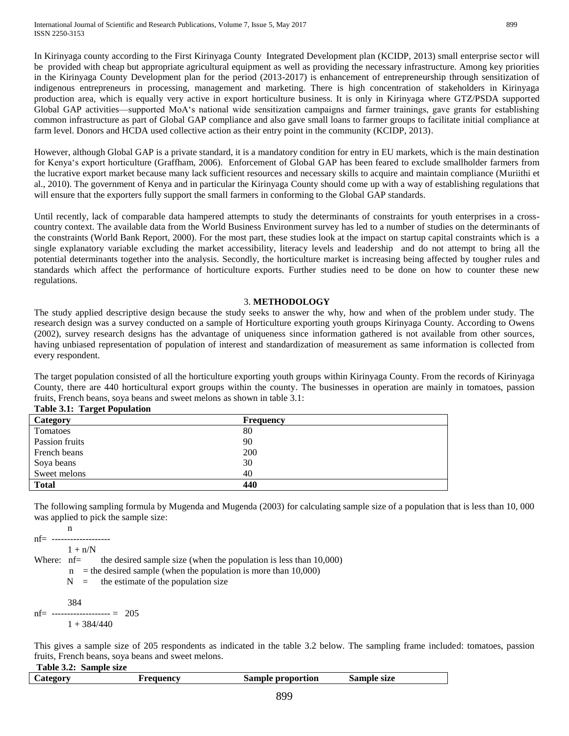In Kirinyaga county according to the First Kirinyaga County Integrated Development plan (KCIDP, 2013) small enterprise sector will be provided with cheap but appropriate agricultural equipment as well as providing the necessary infrastructure. Among key priorities in the Kirinyaga County Development plan for the period (2013-2017) is enhancement of entrepreneurship through sensitization of indigenous entrepreneurs in processing, management and marketing. There is high concentration of stakeholders in Kirinyaga production area, which is equally very active in export horticulture business. It is only in Kirinyaga where GTZ/PSDA supported Global GAP activities—supported MoA's national wide sensitization campaigns and farmer trainings, gave grants for establishing common infrastructure as part of Global GAP compliance and also gave small loans to farmer groups to facilitate initial compliance at farm level. Donors and HCDA used collective action as their entry point in the community (KCIDP, 2013).

However, although Global GAP is a private standard, it is a mandatory condition for entry in EU markets, which is the main destination for Kenya's export horticulture (Graffham, 2006). Enforcement of Global GAP has been feared to exclude smallholder farmers from the lucrative export market because many lack sufficient resources and necessary skills to acquire and maintain compliance (Muriithi et al., 2010). The government of Kenya and in particular the Kirinyaga County should come up with a way of establishing regulations that will ensure that the exporters fully support the small farmers in conforming to the Global GAP standards.

Until recently, lack of comparable data hampered attempts to study the determinants of constraints for youth enterprises in a crosscountry context. The available data from the World Business Environment survey has led to a number of studies on the determinants of the constraints (World Bank Report, 2000). For the most part, these studies look at the impact on startup capital constraints which is a single explanatory variable excluding the market accessibility, literacy levels and leadership and do not attempt to bring all the potential determinants together into the analysis. Secondly, the horticulture market is increasing being affected by tougher rules and standards which affect the performance of horticulture exports. Further studies need to be done on how to counter these new regulations.

#### 3. **METHODOLOGY**

The study applied descriptive design because the study seeks to answer the why, how and when of the problem under study. The research design was a survey conducted on a sample of Horticulture exporting youth groups Kirinyaga County. According to Owens (2002), survey research designs has the advantage of uniqueness since information gathered is not available from other sources, having unbiased representation of population of interest and standardization of measurement as same information is collected from every respondent.

The target population consisted of all the horticulture exporting youth groups within Kirinyaga County. From the records of Kirinyaga County, there are 440 horticultural export groups within the county. The businesses in operation are mainly in tomatoes, passion fruits, French beans, soya beans and sweet melons as shown in table 3.1:

| -<br>Category  | <b>Frequency</b> |
|----------------|------------------|
| Tomatoes       | 80               |
| Passion fruits | 90               |
| French beans   | 200              |
| Soya beans     | 30               |
| Sweet melons   | 40               |
| <b>Total</b>   | 440              |

**Table 3.1: Target Population**

The following sampling formula by Mugenda and Mugenda (2003) for calculating sample size of a population that is less than 10, 000 was applied to pick the sample size:

n  $nf =$  --------------------- $1 + n/N$ Where:  $nf =$  the desired sample size (when the population is less than 10,000)  $n =$  the desired sample (when the population is more than 10,000)

 $N =$  the estimate of the population size

$$
nf = \frac{384}{1 + 384/440} = 205
$$

This gives a sample size of 205 respondents as indicated in the table 3.2 below. The sampling frame included: tomatoes, passion fruits, French beans, soya beans and sweet melons.

**Table 3.2: Sample size**

| $\mathcal{L}$ ategory | Frequency | Sample proportion | Sample size |
|-----------------------|-----------|-------------------|-------------|
|                       |           |                   |             |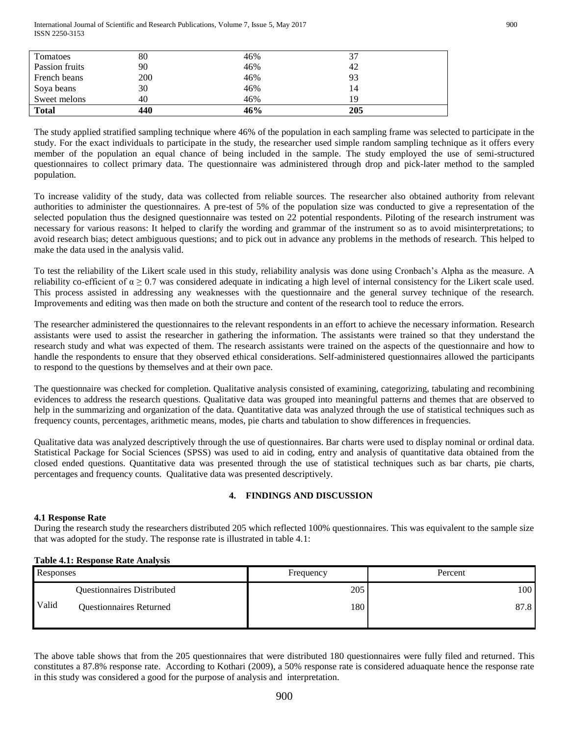International Journal of Scientific and Research Publications, Volume 7, Issue 5, May 2017 900 ISSN 2250-3153

| Tomatoes       | 80  | 46% |     |
|----------------|-----|-----|-----|
| Passion fruits | 90  | 46% | 42  |
| French beans   | 200 | 46% | 93  |
| Soya beans     | 30  | 46% | 14  |
| Sweet melons   | 40  | 46% | 19  |
| <b>Total</b>   | 440 | 46% | 205 |

The study applied stratified sampling technique where 46% of the population in each sampling frame was selected to participate in the study. For the exact individuals to participate in the study, the researcher used simple random sampling technique as it offers every member of the population an equal chance of being included in the sample. The study employed the use of semi-structured questionnaires to collect primary data. The questionnaire was administered through drop and pick-later method to the sampled population.

To increase validity of the study, data was collected from reliable sources. The researcher also obtained authority from relevant authorities to administer the questionnaires. A pre-test of 5% of the population size was conducted to give a representation of the selected population thus the designed questionnaire was tested on 22 potential respondents. Piloting of the research instrument was necessary for various reasons: It helped to clarify the wording and grammar of the instrument so as to avoid misinterpretations; to avoid research bias; detect ambiguous questions; and to pick out in advance any problems in the methods of research. This helped to make the data used in the analysis valid.

To test the reliability of the Likert scale used in this study, reliability analysis was done using Cronbach's Alpha as the measure. A reliability co-efficient of  $\alpha \ge 0.7$  was considered adequate in indicating a high level of internal consistency for the Likert scale used. This process assisted in addressing any weaknesses with the questionnaire and the general survey technique of the research. Improvements and editing was then made on both the structure and content of the research tool to reduce the errors.

The researcher administered the questionnaires to the relevant respondents in an effort to achieve the necessary information. Research assistants were used to assist the researcher in gathering the information. The assistants were trained so that they understand the research study and what was expected of them. The research assistants were trained on the aspects of the questionnaire and how to handle the respondents to ensure that they observed ethical considerations. Self-administered questionnaires allowed the participants to respond to the questions by themselves and at their own pace.

The questionnaire was checked for completion. Qualitative analysis consisted of examining, categorizing, tabulating and recombining evidences to address the research questions. Qualitative data was grouped into meaningful patterns and themes that are observed to help in the summarizing and organization of the data. Quantitative data was analyzed through the use of statistical techniques such as frequency counts, percentages, arithmetic means, modes, pie charts and tabulation to show differences in frequencies.

Qualitative data was analyzed descriptively through the use of questionnaires. Bar charts were used to display nominal or ordinal data. Statistical Package for Social Sciences (SPSS) was used to aid in coding, entry and analysis of quantitative data obtained from the closed ended questions. Quantitative data was presented through the use of statistical techniques such as bar charts, pie charts, percentages and frequency counts. Qualitative data was presented descriptively.

## **4. FINDINGS AND DISCUSSION**

#### **4.1 Response Rate**

During the research study the researchers distributed 205 which reflected 100% questionnaires. This was equivalent to the sample size that was adopted for the study. The response rate is illustrated in table 4.1:

#### **Table 4.1: Response Rate Analysis**

| Responses |                                   | Frequency | Percent |
|-----------|-----------------------------------|-----------|---------|
|           | <b>Questionnaires Distributed</b> | 205       | 100     |
| Valid     | <b>Questionnaires Returned</b>    | 180       | 87.8    |

The above table shows that from the 205 questionnaires that were distributed 180 questionnaires were fully filed and returned. This constitutes a 87.8% response rate. According to Kothari (2009), a 50% response rate is considered aduaquate hence the response rate in this study was considered a good for the purpose of analysis and interpretation.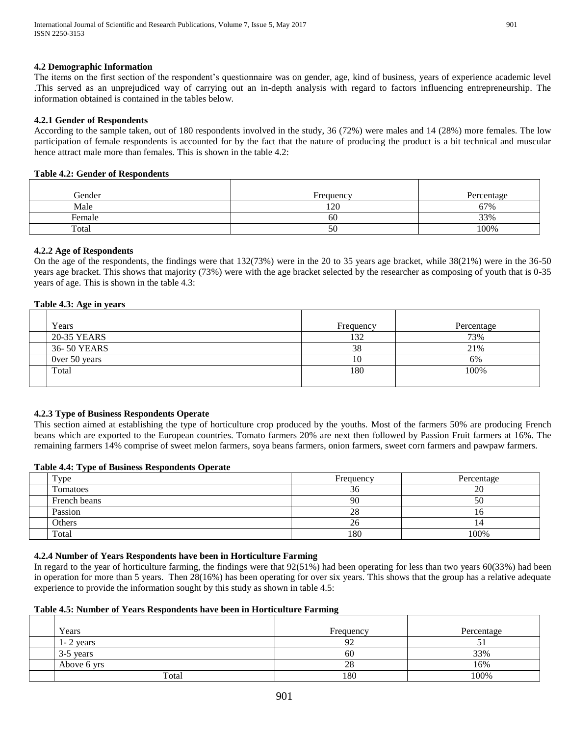## **4.2 Demographic Information**

The items on the first section of the respondent's questionnaire was on gender, age, kind of business, years of experience academic level .This served as an unprejudiced way of carrying out an in-depth analysis with regard to factors influencing entrepreneurship. The information obtained is contained in the tables below.

#### **4.2.1 Gender of Respondents**

According to the sample taken, out of 180 respondents involved in the study, 36 (72%) were males and 14 (28%) more females. The low participation of female respondents is accounted for by the fact that the nature of producing the product is a bit technical and muscular hence attract male more than females. This is shown in the table 4.2:

#### **Table 4.2: Gender of Respondents**

| Gender | Frequency | Percentage |
|--------|-----------|------------|
| Male   | 120       | 67%        |
| Female | 60        | 33%        |
| Total  | 50        | 100%       |

## **4.2.2 Age of Respondents**

On the age of the respondents, the findings were that 132(73%) were in the 20 to 35 years age bracket, while 38(21%) were in the 36-50 years age bracket. This shows that majority (73%) were with the age bracket selected by the researcher as composing of youth that is 0-35 years of age. This is shown in the table 4.3:

#### **Table 4.3: Age in years**

| Years         | Frequency | Percentage |
|---------------|-----------|------------|
| 20-35 YEARS   | 132       | 73%        |
| 36-50 YEARS   | 38        | 21%        |
| Over 50 years | 10        | 6%         |
| Total         | 180       | 100%       |
|               |           |            |

## **4.2.3 Type of Business Respondents Operate**

This section aimed at establishing the type of horticulture crop produced by the youths. Most of the farmers 50% are producing French beans which are exported to the European countries. Tomato farmers 20% are next then followed by Passion Fruit farmers at 16%. The remaining farmers 14% comprise of sweet melon farmers, soya beans farmers, onion farmers, sweet corn farmers and pawpaw farmers.

#### **Table 4.4: Type of Business Respondents Operate**

| Type         | Frequency | Percentage |
|--------------|-----------|------------|
| Tomatoes     | ⌒.<br>эo  | oc<br>ZU   |
| French beans | 90        | ЭU         |
| Passion      | oσ<br>28  |            |
| Others       | ΖO        | 14         |
| Total        | 180       | 100%       |

#### **4.2.4 Number of Years Respondents have been in Horticulture Farming**

In regard to the year of horticulture farming, the findings were that 92(51%) had been operating for less than two years 60(33%) had been in operation for more than 5 years. Then 28(16%) has been operating for over six years. This shows that the group has a relative adequate experience to provide the information sought by this study as shown in table 4.5:

#### **Table 4.5: Number of Years Respondents have been in Horticulture Farming**

| Years         | Frequency     | Percentage |
|---------------|---------------|------------|
| $1 - 2$ years | $\Omega$<br>╯ | ◡          |
| 3-5 years     | 60            | 33%        |
| Above 6 yrs   | 28            | 16%        |
| Total         | 180           | 100%       |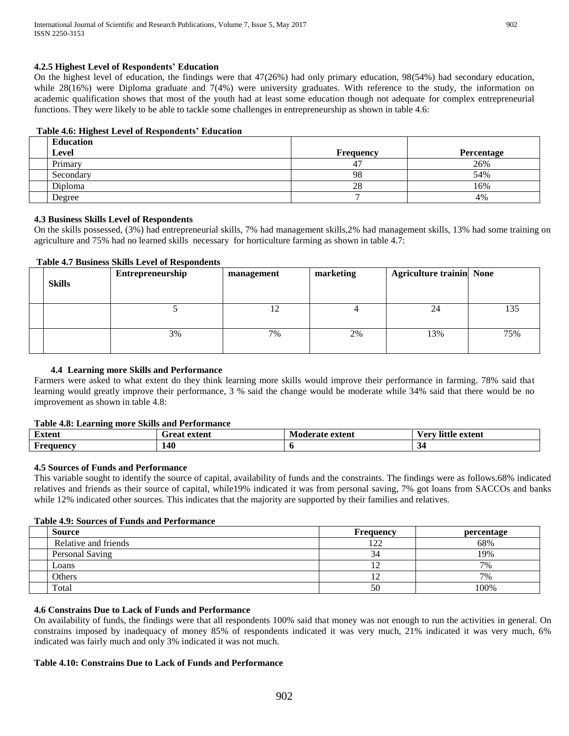## **4.2.5 Highest Level of Respondents' Education**

On the highest level of education, the findings were that  $47(26%)$  had only primary education,  $98(54%)$  had secondary education, while 28(16%) were Diploma graduate and 7(4%) were university graduates. With reference to the study, the information on academic qualification shows that most of the youth had at least some education though not adequate for complex entrepreneurial functions. They were likely to be able to tackle some challenges in entrepreneurship as shown in table 4.6:

## **Table 4.6: Highest Level of Respondents' Education**

| <b>Education</b> |                  |            |
|------------------|------------------|------------|
| <b>Level</b>     | <b>Frequency</b> | Percentage |
| Primary          | 47               | 26%        |
| Secondary        | 98               | 54%        |
| Diploma          | 28               | 16%        |
| Degree           |                  | 4%         |

## **4.3 Business Skills Level of Respondents**

On the skills possessed, (3%) had entrepreneurial skills, 7% had management skills,2% had management skills, 13% had some training on agriculture and 75% had no learned skills necessary for horticulture farming as shown in table 4.7:

## **Table 4.7 Business Skills Level of Respondents**

| <b>Skills</b> | Entrepreneurship | management | marketing | <b>Agriculture trainin None</b> |     |
|---------------|------------------|------------|-----------|---------------------------------|-----|
|               |                  | ⊥∠         |           | 24                              | 135 |
|               | 3%               | 7%         | 2%        | 13%                             | 75% |

## **4.4 Learning more Skills and Performance**

Farmers were asked to what extent do they think learning more skills would improve their performance in farming. 78% said that learning would greatly improve their performance, 3 % said the change would be moderate while 34% said that there would be no improvement as shown in table 4.8:

## **Table 4.8: Learning more Skills and Performance**

| $\sim$<br>Extent                       | extent<br>∸raa:<br>. Cal | <b>Moderate extent</b> | little<br>/ арт<br>extent<br>U. |
|----------------------------------------|--------------------------|------------------------|---------------------------------|
| $\overline{\phantom{0}}$<br>F requencv | 140                      |                        |                                 |

## **4.5 Sources of Funds and Performance**

This variable sought to identify the source of capital, availability of funds and the constraints. The findings were as follows.68% indicated relatives and friends as their source of capital, while19% indicated it was from personal saving, 7% got loans from SACCOs and banks while 12% indicated other sources. This indicates that the majority are supported by their families and relatives.

## **Table 4.9: Sources of Funds and Performance**

| <b>Source</b>        | Frequency   | percentage |
|----------------------|-------------|------------|
| Relative and friends | 120<br>- 44 | 68%        |
| Personal Saving      | 34          | 19%        |
| Loans                |             | 7%         |
| Others               |             | 7%         |
| Total                | 50          | 100%       |

## **4.6 Constrains Due to Lack of Funds and Performance**

On availability of funds, the findings were that all respondents 100% said that money was not enough to run the activities in general. On constrains imposed by inadequacy of money 85% of respondents indicated it was very much, 21% indicated it was very much, 6% indicated was fairly much and only 3% indicated it was not much.

## **Table 4.10: Constrains Due to Lack of Funds and Performance**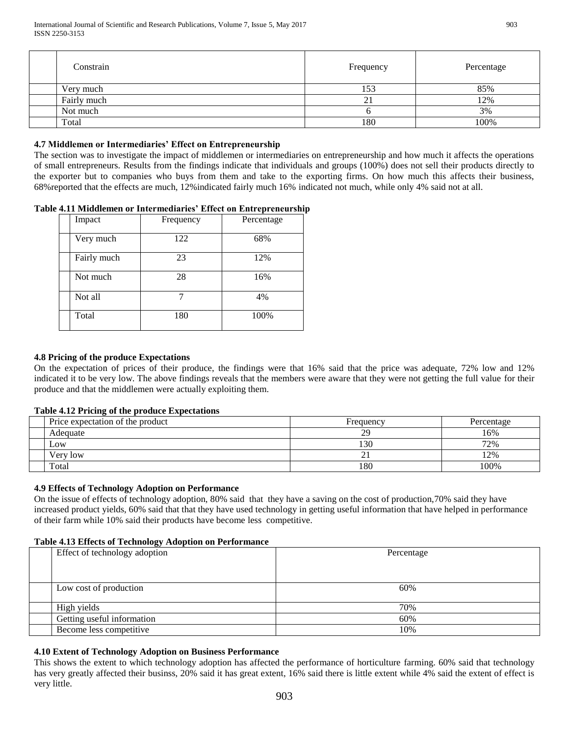| Constrain   | Frequency | Percentage |
|-------------|-----------|------------|
| Very much   | 153       | 85%        |
| Fairly much | n.<br>ΖI  | 12%        |
| Not much    |           | 3%         |
| Total       | 180       | 100%       |

## **4.7 Middlemen or Intermediaries' Effect on Entrepreneurship**

The section was to investigate the impact of middlemen or intermediaries on entrepreneurship and how much it affects the operations of small entrepreneurs. Results from the findings indicate that individuals and groups (100%) does not sell their products directly to the exporter but to companies who buys from them and take to the exporting firms. On how much this affects their business, 68%reported that the effects are much, 12%indicated fairly much 16% indicated not much, while only 4% said not at all.

## **Table 4.11 Middlemen or Intermediaries' Effect on Entrepreneurship**

| Impact      | Frequency | Percentage |
|-------------|-----------|------------|
| Very much   | 122       | 68%        |
| Fairly much | 23        | 12%        |
| Not much    | 28        | 16%        |
| Not all     |           | 4%         |
| Total       | 180       | 100%       |

## **4.8 Pricing of the produce Expectations**

On the expectation of prices of their produce, the findings were that 16% said that the price was adequate, 72% low and 12% indicated it to be very low. The above findings reveals that the members were aware that they were not getting the full value for their produce and that the middlemen were actually exploiting them.

#### **Table 4.12 Pricing of the produce Expectations**

| Price expectation of the product | Frequency | Percentage |
|----------------------------------|-----------|------------|
| Adequate                         | 29        | 16%        |
| Low                              | 130       | 72%        |
| Very low                         | ⌒<br>∸    | 12%        |
| Total                            | 180       | 100%       |

## **4.9 Effects of Technology Adoption on Performance**

On the issue of effects of technology adoption, 80% said that they have a saving on the cost of production,70% said they have increased product yields, 60% said that that they have used technology in getting useful information that have helped in performance of their farm while 10% said their products have become less competitive.

#### **Table 4.13 Effects of Technology Adoption on Performance**

| Effect of technology adoption | Percentage |  |  |
|-------------------------------|------------|--|--|
|                               |            |  |  |
|                               |            |  |  |
| Low cost of production        | 60%        |  |  |
|                               |            |  |  |
| High yields                   | 70%        |  |  |
| Getting useful information    | 60%        |  |  |
| Become less competitive       | 10%        |  |  |

## **4.10 Extent of Technology Adoption on Business Performance**

This shows the extent to which technology adoption has affected the performance of horticulture farming. 60% said that technology has very greatly affected their businss, 20% said it has great extent, 16% said there is little extent while 4% said the extent of effect is very little.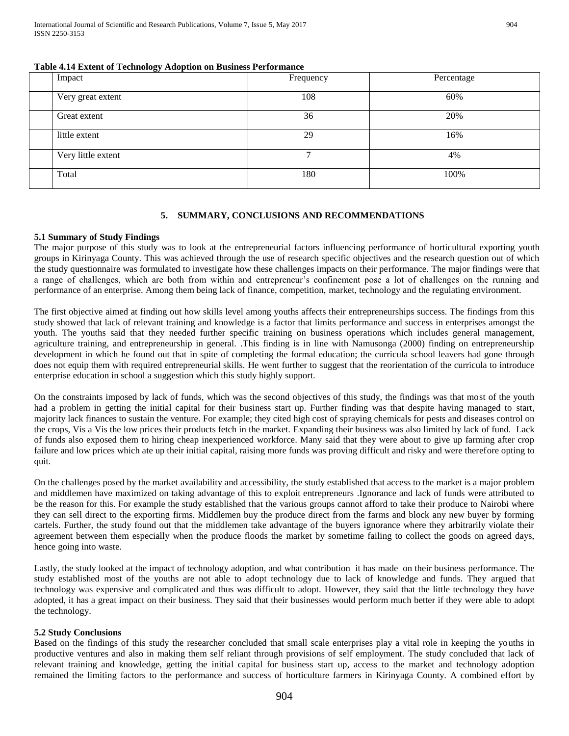| Table 4.14 Extent of Technology Adoption on Business Performance |  |  |  |
|------------------------------------------------------------------|--|--|--|
|------------------------------------------------------------------|--|--|--|

| Impact             | Frequency | Percentage |
|--------------------|-----------|------------|
| Very great extent  | 108       | 60%        |
| Great extent       | 36        | 20%        |
| little extent      | 29        | 16%        |
| Very little extent | ⇁         | 4%         |
| Total              | 180       | 100%       |

#### **5. SUMMARY, CONCLUSIONS AND RECOMMENDATIONS**

#### **5.1 Summary of Study Findings**

The major purpose of this study was to look at the entrepreneurial factors influencing performance of horticultural exporting youth groups in Kirinyaga County. This was achieved through the use of research specific objectives and the research question out of which the study questionnaire was formulated to investigate how these challenges impacts on their performance. The major findings were that a range of challenges, which are both from within and entrepreneur's confinement pose a lot of challenges on the running and performance of an enterprise. Among them being lack of finance, competition, market, technology and the regulating environment.

The first objective aimed at finding out how skills level among youths affects their entrepreneurships success. The findings from this study showed that lack of relevant training and knowledge is a factor that limits performance and success in enterprises amongst the youth. The youths said that they needed further specific training on business operations which includes general management, agriculture training, and entrepreneurship in general. .This finding is in line with Namusonga (2000) finding on entrepreneurship development in which he found out that in spite of completing the formal education; the curricula school leavers had gone through does not equip them with required entrepreneurial skills. He went further to suggest that the reorientation of the curricula to introduce enterprise education in school a suggestion which this study highly support.

On the constraints imposed by lack of funds, which was the second objectives of this study, the findings was that most of the youth had a problem in getting the initial capital for their business start up. Further finding was that despite having managed to start, majority lack finances to sustain the venture. For example; they cited high cost of spraying chemicals for pests and diseases control on the crops, Vis a Vis the low prices their products fetch in the market. Expanding their business was also limited by lack of fund. Lack of funds also exposed them to hiring cheap inexperienced workforce. Many said that they were about to give up farming after crop failure and low prices which ate up their initial capital, raising more funds was proving difficult and risky and were therefore opting to quit.

On the challenges posed by the market availability and accessibility, the study established that access to the market is a major problem and middlemen have maximized on taking advantage of this to exploit entrepreneurs .Ignorance and lack of funds were attributed to be the reason for this. For example the study established that the various groups cannot afford to take their produce to Nairobi where they can sell direct to the exporting firms. Middlemen buy the produce direct from the farms and block any new buyer by forming cartels. Further, the study found out that the middlemen take advantage of the buyers ignorance where they arbitrarily violate their agreement between them especially when the produce floods the market by sometime failing to collect the goods on agreed days, hence going into waste.

Lastly, the study looked at the impact of technology adoption, and what contribution it has made on their business performance. The study established most of the youths are not able to adopt technology due to lack of knowledge and funds. They argued that technology was expensive and complicated and thus was difficult to adopt. However, they said that the little technology they have adopted, it has a great impact on their business. They said that their businesses would perform much better if they were able to adopt the technology.

#### **5.2 Study Conclusions**

Based on the findings of this study the researcher concluded that small scale enterprises play a vital role in keeping the youths in productive ventures and also in making them self reliant through provisions of self employment. The study concluded that lack of relevant training and knowledge, getting the initial capital for business start up, access to the market and technology adoption remained the limiting factors to the performance and success of horticulture farmers in Kirinyaga County. A combined effort by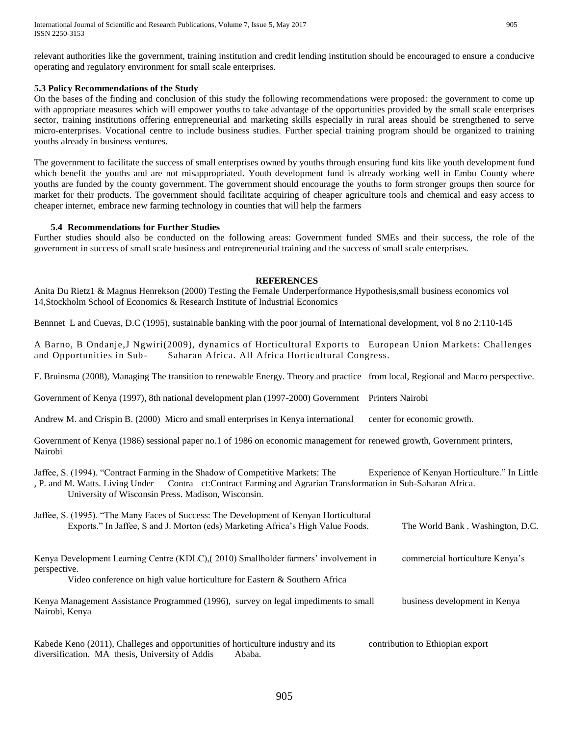relevant authorities like the government, training institution and credit lending institution should be encouraged to ensure a conducive operating and regulatory environment for small scale enterprises.

#### **5.3 Policy Recommendations of the Study**

On the bases of the finding and conclusion of this study the following recommendations were proposed: the government to come up with appropriate measures which will empower youths to take advantage of the opportunities provided by the small scale enterprises sector, training institutions offering entrepreneurial and marketing skills especially in rural areas should be strengthened to serve micro-enterprises. Vocational centre to include business studies. Further special training program should be organized to training youths already in business ventures.

The government to facilitate the success of small enterprises owned by youths through ensuring fund kits like youth development fund which benefit the youths and are not misappropriated. Youth development fund is already working well in Embu County where youths are funded by the county government. The government should encourage the youths to form stronger groups then source for market for their products. The government should facilitate acquiring of cheaper agriculture tools and chemical and easy access to cheaper internet, embrace new farming technology in counties that will help the farmers

#### **5.4 Recommendations for Further Studies**

Further studies should also be conducted on the following areas: Government funded SMEs and their success, the role of the government in success of small scale business and entrepreneurial training and the success of small scale enterprises.

#### **REFERENCES**

Anita Du Rietz1 & Magnus Henrekson (2000) Testing the Female Underperformance Hypothesis,small business economics vol 14,Stockholm School of Economics & Research Institute of Industrial Economics

Bennnet L and Cuevas, D.C (1995), sustainable banking with the poor journal of International development, vol 8 no 2:110-145

A Barno, B Ondanje,J Ngwiri(2009), dynamics of Horticultural Exports to European Union Markets: Challenges and Opportunities in Sub- Saharan Africa. All Africa Horticultural Congress.

F. Bruinsma (2008), Managing The transition to renewable Energy. Theory and practice from local, Regional and Macro perspective.

Government of Kenya (1997), 8th national development plan (1997-2000) Government Printers Nairobi

Andrew M. and Crispin B. (2000) Micro and small enterprises in Kenya international center for economic growth.

Government of Kenya (1986) sessional paper no.1 of 1986 on economic management for renewed growth, Government printers, Nairobi

Jaffee, S. (1994). "Contract Farming in the Shadow of Competitive Markets: The Experience of Kenyan Horticulture." In Little

, P. and M. Watts. Living Under Contra ct:Contract Farming and Agrarian Transformation in Sub-Saharan Africa. University of Wisconsin Press. Madison, Wisconsin.

| Jaffee, S. (1995). "The Many Faces of Success: The Development of Kenyan Horticultural<br>Exports." In Jaffee, S and J. Morton (eds) Marketing Africa's High Value Foods.         | The World Bank. Washington, D.C. |
|-----------------------------------------------------------------------------------------------------------------------------------------------------------------------------------|----------------------------------|
| Kenya Development Learning Centre (KDLC), (2010) Smallholder farmers' involvement in<br>perspective.<br>Video conference on high value horticulture for Eastern & Southern Africa | commercial horticulture Kenya's  |
| Kenya Management Assistance Programmed (1996), survey on legal impediments to small<br>Nairobi, Kenya                                                                             | business development in Kenya    |
| Kabede Keno (2011), Challeges and opportunities of horticulture industry and its<br>diversification. MA thesis, University of Addis<br>Ababa.                                     | contribution to Ethiopian export |